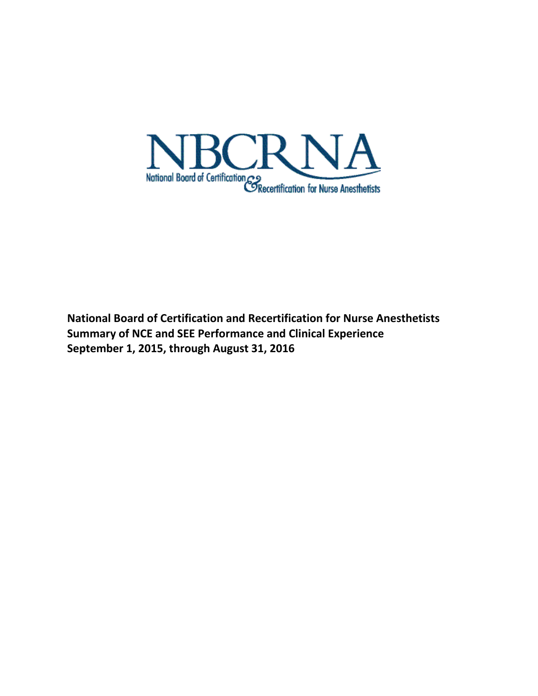

**National Board of Certification and Recertification for Nurse Anesthetists Summary of NCE and SEE Performance and Clinical Experience September 1, 2015, through August 31, 2016**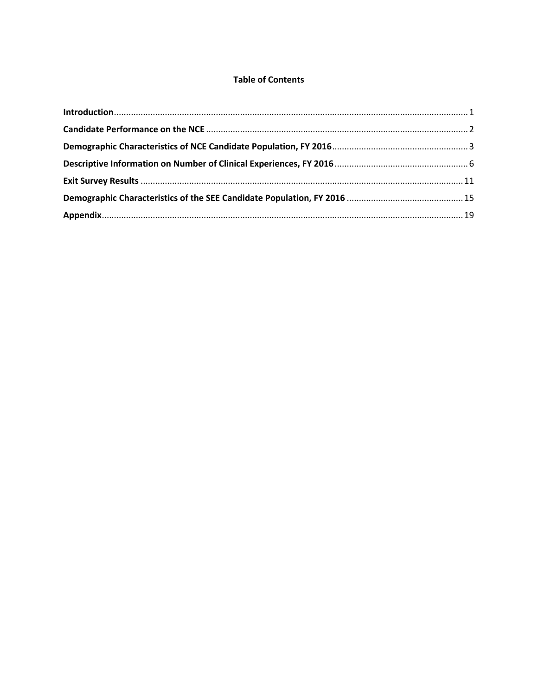# **Table of Contents**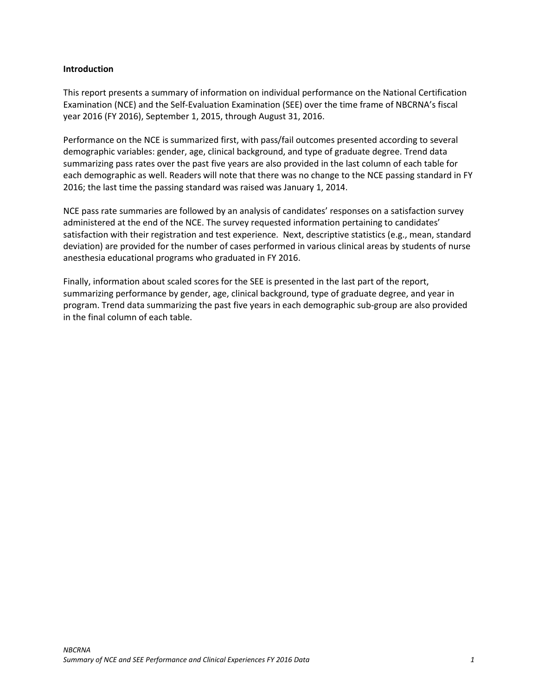### <span id="page-2-0"></span>**Introduction**

This report presents a summary of information on individual performance on the National Certification Examination (NCE) and the Self-Evaluation Examination (SEE) over the time frame of NBCRNA's fiscal year 2016 (FY 2016), September 1, 2015, through August 31, 2016.

Performance on the NCE is summarized first, with pass/fail outcomes presented according to several demographic variables: gender, age, clinical background, and type of graduate degree. Trend data summarizing pass rates over the past five years are also provided in the last column of each table for each demographic as well. Readers will note that there was no change to the NCE passing standard in FY 2016; the last time the passing standard was raised was January 1, 2014.

NCE pass rate summaries are followed by an analysis of candidates' responses on a satisfaction survey administered at the end of the NCE. The survey requested information pertaining to candidates' satisfaction with their registration and test experience. Next, descriptive statistics (e.g., mean, standard deviation) are provided for the number of cases performed in various clinical areas by students of nurse anesthesia educational programs who graduated in FY 2016.

Finally, information about scaled scores for the SEE is presented in the last part of the report, summarizing performance by gender, age, clinical background, type of graduate degree, and year in program. Trend data summarizing the past five years in each demographic sub-group are also provided in the final column of each table.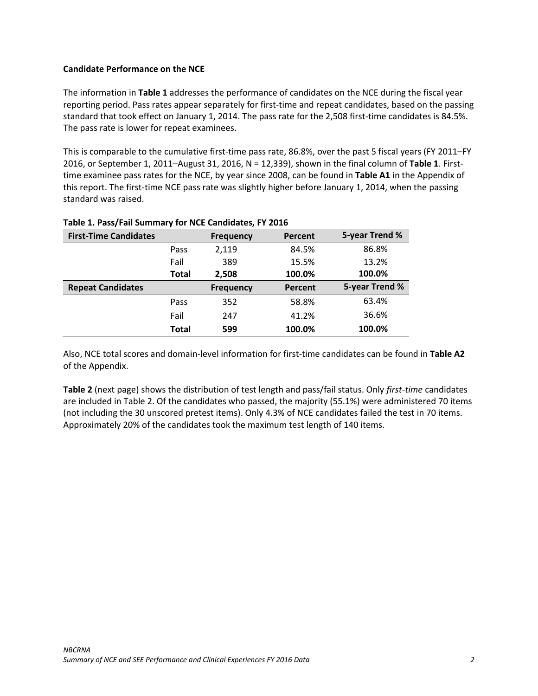### <span id="page-3-0"></span>**Candidate Performance on the NCE**

The information in **Table 1** addresses the performance of candidates on the NCE during the fiscal year reporting period. Pass rates appear separately for first-time and repeat candidates, based on the passing standard that took effect on January 1, 2014. The pass rate for the 2,508 first-time candidates is 84.5%. The pass rate is lower for repeat examinees.

This is comparable to the cumulative first-time pass rate, 86.8%, over the past 5 fiscal years (FY 2011–FY 2016, or September 1, 2011–August 31, 2016, N = 12,339), shown in the final column of **Table 1**. Firsttime examinee pass rates for the NCE, by year since 2008, can be found in **Table A1** in the Appendix of this report. The first-time NCE pass rate was slightly higher before January 1, 2014, when the passing standard was raised.

| <b>First-Time Candidates</b> |              | <b>Frequency</b> | Percent | 5-year Trend % |
|------------------------------|--------------|------------------|---------|----------------|
|                              | Pass         | 2,119            | 84.5%   | 86.8%          |
|                              | Fail         | 389              | 15.5%   | 13.2%          |
|                              | <b>Total</b> | 2,508            | 100.0%  | 100.0%         |
| <b>Repeat Candidates</b>     |              | <b>Frequency</b> | Percent | 5-year Trend % |
|                              | Pass         | 352              | 58.8%   | 63.4%          |
|                              | Fail         | 247              | 41.2%   | 36.6%          |
|                              | <b>Total</b> | 599              | 100.0%  | 100.0%         |

### **Table 1. Pass/Fail Summary for NCE Candidates, FY 2016**

Also, NCE total scores and domain-level information for first-time candidates can be found in **Table A2** of the Appendix.

**Table 2** (next page) shows the distribution of test length and pass/fail status. Only *first-time* candidates are included in Table 2. Of the candidates who passed, the majority (55.1%) were administered 70 items (not including the 30 unscored pretest items). Only 4.3% of NCE candidates failed the test in 70 items. Approximately 20% of the candidates took the maximum test length of 140 items.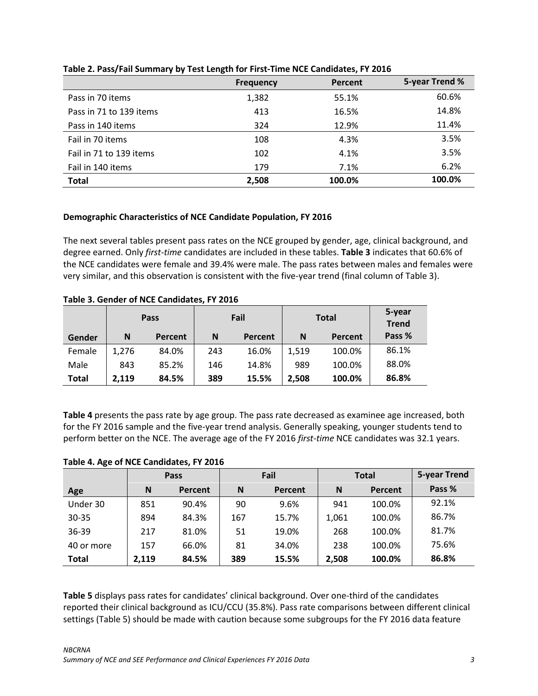|                         | <b>Frequency</b> | Percent | 5-year Trend % |
|-------------------------|------------------|---------|----------------|
| Pass in 70 items        | 1,382            | 55.1%   | 60.6%          |
| Pass in 71 to 139 items | 413              | 16.5%   | 14.8%          |
| Pass in 140 items       | 324              | 12.9%   | 11.4%          |
| Fail in 70 items        | 108              | 4.3%    | 3.5%           |
| Fail in 71 to 139 items | 102              | 4.1%    | 3.5%           |
| Fail in 140 items       | 179              | 7.1%    | 6.2%           |
| <b>Total</b>            | 2,508            | 100.0%  | 100.0%         |

### **Table 2. Pass/Fail Summary by Test Length for First-Time NCE Candidates, FY 2016**

## <span id="page-4-0"></span>**Demographic Characteristics of NCE Candidate Population, FY 2016**

The next several tables present pass rates on the NCE grouped by gender, age, clinical background, and degree earned. Only *first-time* candidates are included in these tables. **Table 3** indicates that 60.6% of the NCE candidates were female and 39.4% were male. The pass rates between males and females were very similar, and this observation is consistent with the five-year trend (final column of Table 3).

|              |       | Pass    | Fail |         | <b>Total</b> |         | 5-year<br><b>Trend</b> |
|--------------|-------|---------|------|---------|--------------|---------|------------------------|
| Gender       | N     | Percent | N    | Percent | N            | Percent | Pass %                 |
| Female       | 1,276 | 84.0%   | 243  | 16.0%   | 1,519        | 100.0%  | 86.1%                  |
| Male         | 843   | 85.2%   | 146  | 14.8%   | 989          | 100.0%  | 88.0%                  |
| <b>Total</b> | 2,119 | 84.5%   | 389  | 15.5%   | 2,508        | 100.0%  | 86.8%                  |

**Table 3. Gender of NCE Candidates, FY 2016**

**Table 4** presents the pass rate by age group. The pass rate decreased as examinee age increased, both for the FY 2016 sample and the five-year trend analysis. Generally speaking, younger students tend to perform better on the NCE. The average age of the FY 2016 *first-time* NCE candidates was 32.1 years.

|              |       | Pass    | Fail |         | <b>Total</b> |         | 5-year Trend |
|--------------|-------|---------|------|---------|--------------|---------|--------------|
| Age          | N     | Percent | N    | Percent | N            | Percent | Pass %       |
| Under 30     | 851   | 90.4%   | 90   | 9.6%    | 941          | 100.0%  | 92.1%        |
| $30 - 35$    | 894   | 84.3%   | 167  | 15.7%   | 1,061        | 100.0%  | 86.7%        |
| 36-39        | 217   | 81.0%   | 51   | 19.0%   | 268          | 100.0%  | 81.7%        |
| 40 or more   | 157   | 66.0%   | 81   | 34.0%   | 238          | 100.0%  | 75.6%        |
| <b>Total</b> | 2,119 | 84.5%   | 389  | 15.5%   | 2,508        | 100.0%  | 86.8%        |

### **Table 4. Age of NCE Candidates, FY 2016**

**Table 5** displays pass rates for candidates' clinical background. Over one-third of the candidates reported their clinical background as ICU/CCU (35.8%). Pass rate comparisons between different clinical settings (Table 5) should be made with caution because some subgroups for the FY 2016 data feature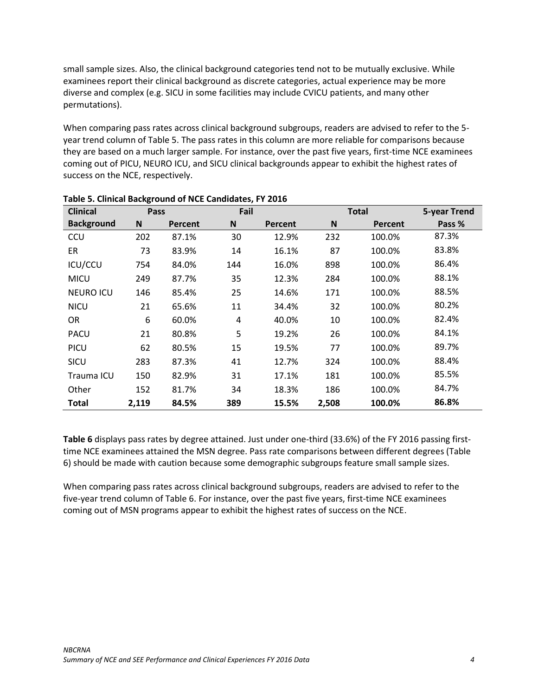small sample sizes. Also, the clinical background categories tend not to be mutually exclusive. While examinees report their clinical background as discrete categories, actual experience may be more diverse and complex (e.g. SICU in some facilities may include CVICU patients, and many other permutations).

When comparing pass rates across clinical background subgroups, readers are advised to refer to the 5 year trend column of Table 5. The pass rates in this column are more reliable for comparisons because they are based on a much larger sample. For instance, over the past five years, first-time NCE examinees coming out of PICU, NEURO ICU, and SICU clinical backgrounds appear to exhibit the highest rates of success on the NCE, respectively.

| <b>Clinical</b>   | Pass  |         | Fail      |         |       | <b>Total</b> | <b>5-year Trend</b> |
|-------------------|-------|---------|-----------|---------|-------|--------------|---------------------|
| <b>Background</b> | N     | Percent | ${\sf N}$ | Percent | N     | Percent      | Pass %              |
| CCU               | 202   | 87.1%   | 30        | 12.9%   | 232   | 100.0%       | 87.3%               |
| ER                | 73    | 83.9%   | 14        | 16.1%   | 87    | 100.0%       | 83.8%               |
| ICU/CCU           | 754   | 84.0%   | 144       | 16.0%   | 898   | 100.0%       | 86.4%               |
| <b>MICU</b>       | 249   | 87.7%   | 35        | 12.3%   | 284   | 100.0%       | 88.1%               |
| <b>NEURO ICU</b>  | 146   | 85.4%   | 25        | 14.6%   | 171   | 100.0%       | 88.5%               |
| <b>NICU</b>       | 21    | 65.6%   | 11        | 34.4%   | 32    | 100.0%       | 80.2%               |
| <b>OR</b>         | 6     | 60.0%   | 4         | 40.0%   | 10    | 100.0%       | 82.4%               |
| <b>PACU</b>       | 21    | 80.8%   | 5         | 19.2%   | 26    | 100.0%       | 84.1%               |
| PICU              | 62    | 80.5%   | 15        | 19.5%   | 77    | 100.0%       | 89.7%               |
| SICU              | 283   | 87.3%   | 41        | 12.7%   | 324   | 100.0%       | 88.4%               |
| Trauma ICU        | 150   | 82.9%   | 31        | 17.1%   | 181   | 100.0%       | 85.5%               |
| Other             | 152   | 81.7%   | 34        | 18.3%   | 186   | 100.0%       | 84.7%               |
| <b>Total</b>      | 2,119 | 84.5%   | 389       | 15.5%   | 2,508 | 100.0%       | 86.8%               |

#### **Table 5. Clinical Background of NCE Candidates, FY 2016**

**Table 6** displays pass rates by degree attained. Just under one-third (33.6%) of the FY 2016 passing firsttime NCE examinees attained the MSN degree. Pass rate comparisons between different degrees (Table 6) should be made with caution because some demographic subgroups feature small sample sizes.

When comparing pass rates across clinical background subgroups, readers are advised to refer to the five-year trend column of Table 6. For instance, over the past five years, first-time NCE examinees coming out of MSN programs appear to exhibit the highest rates of success on the NCE.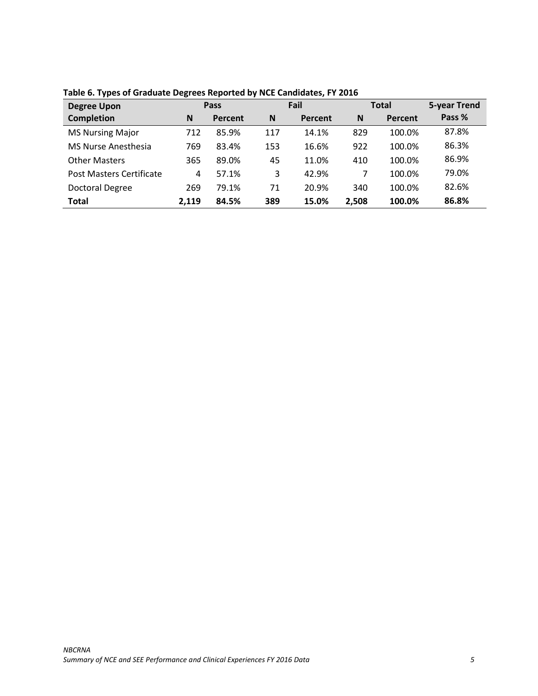| <b>Degree Upon</b>         | <b>Pass</b> |         | Fail |         | <b>Total</b> |         | <b>5-year Trend</b> |
|----------------------------|-------------|---------|------|---------|--------------|---------|---------------------|
| <b>Completion</b>          | N           | Percent | N    | Percent | N            | Percent | Pass %              |
| <b>MS Nursing Major</b>    | 712         | 85.9%   | 117  | 14.1%   | 829          | 100.0%  | 87.8%               |
| <b>MS Nurse Anesthesia</b> | 769         | 83.4%   | 153  | 16.6%   | 922          | 100.0%  | 86.3%               |
| <b>Other Masters</b>       | 365         | 89.0%   | 45   | 11.0%   | 410          | 100.0%  | 86.9%               |
| Post Masters Certificate   | 4           | 57.1%   | 3    | 42.9%   | 7            | 100.0%  | 79.0%               |
| Doctoral Degree            | 269         | 79.1%   | 71   | 20.9%   | 340          | 100.0%  | 82.6%               |
| <b>Total</b>               | 2.119       | 84.5%   | 389  | 15.0%   | 2,508        | 100.0%  | 86.8%               |

**Table 6. Types of Graduate Degrees Reported by NCE Candidates, FY 2016**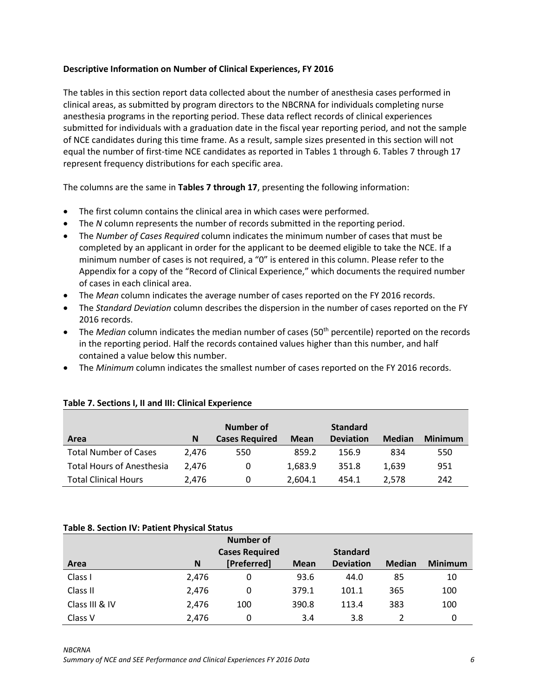### <span id="page-7-0"></span>**Descriptive Information on Number of Clinical Experiences, FY 2016**

The tables in this section report data collected about the number of anesthesia cases performed in clinical areas, as submitted by program directors to the NBCRNA for individuals completing nurse anesthesia programs in the reporting period. These data reflect records of clinical experiences submitted for individuals with a graduation date in the fiscal year reporting period, and not the sample of NCE candidates during this time frame. As a result, sample sizes presented in this section will not equal the number of first-time NCE candidates as reported in Tables 1 through 6. Tables 7 through 17 represent frequency distributions for each specific area.

The columns are the same in **Tables 7 through 17**, presenting the following information:

- The first column contains the clinical area in which cases were performed.
- The *N* column represents the number of records submitted in the reporting period.
- The *Number of Cases Required* column indicates the minimum number of cases that must be completed by an applicant in order for the applicant to be deemed eligible to take the NCE. If a minimum number of cases is not required, a "0" is entered in this column. Please refer to the Appendix for a copy of the "Record of Clinical Experience," which documents the required number of cases in each clinical area.
- The *Mean* column indicates the average number of cases reported on the FY 2016 records.
- The *Standard Deviation* column describes the dispersion in the number of cases reported on the FY 2016 records.
- The *Median* column indicates the median number of cases (50<sup>th</sup> percentile) reported on the records in the reporting period. Half the records contained values higher than this number, and half contained a value below this number.
- The *Minimum* column indicates the smallest number of cases reported on the FY 2016 records.

|                                  |       | Number of             |             | <b>Standard</b>  |               |                |
|----------------------------------|-------|-----------------------|-------------|------------------|---------------|----------------|
| Area                             | N     | <b>Cases Required</b> | <b>Mean</b> | <b>Deviation</b> | <b>Median</b> | <b>Minimum</b> |
| <b>Total Number of Cases</b>     | 2.476 | 550                   | 859.2       | 156.9            | 834           | 550            |
| <b>Total Hours of Anesthesia</b> | 2.476 | 0                     | 1,683.9     | 351.8            | 1.639         | 951            |
| <b>Total Clinical Hours</b>      | 2.476 | 0                     | 2,604.1     | 454.1            | 2.578         | 242            |

### **Table 7. Sections I, II and III: Clinical Experience**

#### **Table 8. Section IV: Patient Physical Status**

|                |       | <b>Number of</b>      |             |                  |               |                |
|----------------|-------|-----------------------|-------------|------------------|---------------|----------------|
|                |       | <b>Cases Required</b> |             | <b>Standard</b>  |               |                |
| Area           | N     | [Preferred]           | <b>Mean</b> | <b>Deviation</b> | <b>Median</b> | <b>Minimum</b> |
| Class I        | 2,476 | 0                     | 93.6        | 44.0             | 85            | 10             |
| Class II       | 2,476 | 0                     | 379.1       | 101.1            | 365           | 100            |
| Class III & IV | 2,476 | 100                   | 390.8       | 113.4            | 383           | 100            |
| Class V        | 2,476 | 0                     | 3.4         | 3.8              |               | 0              |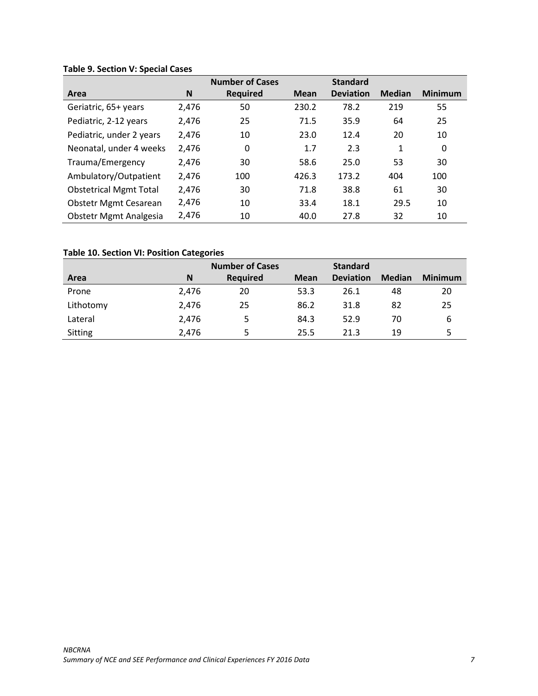# **Table 9. Section V: Special Cases**

|                               |       | <b>Number of Cases</b> |             | <b>Standard</b>  |               |                |
|-------------------------------|-------|------------------------|-------------|------------------|---------------|----------------|
| Area                          | N     | <b>Required</b>        | <b>Mean</b> | <b>Deviation</b> | <b>Median</b> | <b>Minimum</b> |
| Geriatric, 65+ years          | 2,476 | 50                     | 230.2       | 78.2             | 219           | 55             |
| Pediatric, 2-12 years         | 2,476 | 25                     | 71.5        | 35.9             | 64            | 25             |
| Pediatric, under 2 years      | 2,476 | 10                     | 23.0        | 12.4             | 20            | 10             |
| Neonatal, under 4 weeks       | 2,476 | 0                      | 1.7         | 2.3              | 1             | 0              |
| Trauma/Emergency              | 2,476 | 30                     | 58.6        | 25.0             | 53            | 30             |
| Ambulatory/Outpatient         | 2,476 | 100                    | 426.3       | 173.2            | 404           | 100            |
| <b>Obstetrical Mgmt Total</b> | 2,476 | 30                     | 71.8        | 38.8             | 61            | 30             |
| <b>Obstetr Mgmt Cesarean</b>  | 2,476 | 10                     | 33.4        | 18.1             | 29.5          | 10             |
| Obstetr Mgmt Analgesia        | 2,476 | 10                     | 40.0        | 27.8             | 32            | 10             |

# **Table 10. Section VI: Position Categories**

|           |       | <b>Number of Cases</b> |             | <b>Standard</b>  |               |                |
|-----------|-------|------------------------|-------------|------------------|---------------|----------------|
| Area      | N     | <b>Required</b>        | <b>Mean</b> | <b>Deviation</b> | <b>Median</b> | <b>Minimum</b> |
| Prone     | 2,476 | 20                     | 53.3        | 26.1             | 48            | 20             |
| Lithotomy | 2.476 | 25                     | 86.2        | 31.8             | 82            | 25             |
| Lateral   | 2,476 | 5                      | 84.3        | 52.9             | 70            | 6              |
| Sitting   | 2.476 |                        | 25.5        | 21.3             | 19            |                |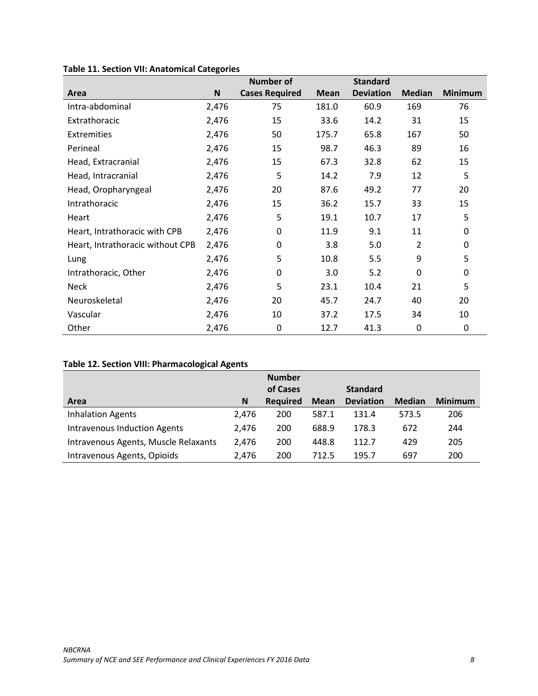|                                  |       | <b>Number of</b>      |             | <b>Standard</b>  |               |                |
|----------------------------------|-------|-----------------------|-------------|------------------|---------------|----------------|
| Area                             | N     | <b>Cases Required</b> | <b>Mean</b> | <b>Deviation</b> | <b>Median</b> | <b>Minimum</b> |
| Intra-abdominal                  | 2,476 | 75                    | 181.0       | 60.9             | 169           | 76             |
| Extrathoracic                    | 2,476 | 15                    | 33.6        | 14.2             | 31            | 15             |
| Extremities                      | 2,476 | 50                    | 175.7       | 65.8             | 167           | 50             |
| Perineal                         | 2,476 | 15                    | 98.7        | 46.3             | 89            | 16             |
| Head, Extracranial               | 2,476 | 15                    | 67.3        | 32.8             | 62            | 15             |
| Head, Intracranial               | 2,476 | 5                     | 14.2        | 7.9              | 12            | 5              |
| Head, Oropharyngeal              | 2,476 | 20                    | 87.6        | 49.2             | 77            | 20             |
| Intrathoracic                    | 2,476 | 15                    | 36.2        | 15.7             | 33            | 15             |
| Heart                            | 2,476 | 5                     | 19.1        | 10.7             | 17            | 5              |
| Heart, Intrathoracic with CPB    | 2,476 | 0                     | 11.9        | 9.1              | 11            | 0              |
| Heart, Intrathoracic without CPB | 2,476 | 0                     | 3.8         | 5.0              | 2             | 0              |
| Lung                             | 2,476 | 5                     | 10.8        | 5.5              | 9             | 5              |
| Intrathoracic, Other             | 2,476 | 0                     | 3.0         | 5.2              | $\Omega$      | 0              |
| <b>Neck</b>                      | 2,476 | 5                     | 23.1        | 10.4             | 21            | 5              |
| Neuroskeletal                    | 2,476 | 20                    | 45.7        | 24.7             | 40            | 20             |
| Vascular                         | 2,476 | 10                    | 37.2        | 17.5             | 34            | 10             |
| Other                            | 2,476 | 0                     | 12.7        | 41.3             | 0             | 0              |

# **Table 11. Section VII: Anatomical Categories**

# **Table 12. Section VIII: Pharmacological Agents**

|                                      |       | <b>Number</b>   |             |                  |               |                |
|--------------------------------------|-------|-----------------|-------------|------------------|---------------|----------------|
|                                      |       | of Cases        |             | <b>Standard</b>  |               |                |
| Area                                 | N     | <b>Required</b> | <b>Mean</b> | <b>Deviation</b> | <b>Median</b> | <b>Minimum</b> |
| <b>Inhalation Agents</b>             | 2.476 | 200             | 587.1       | 131.4            | 573.5         | 206            |
| <b>Intravenous Induction Agents</b>  | 2.476 | 200             | 688.9       | 178.3            | 672           | 244            |
| Intravenous Agents, Muscle Relaxants | 2.476 | 200             | 448.8       | 112.7            | 429           | 205            |
| Intravenous Agents, Opioids          | 2.476 | 200             | 712.5       | 195.7            | 697           | 200            |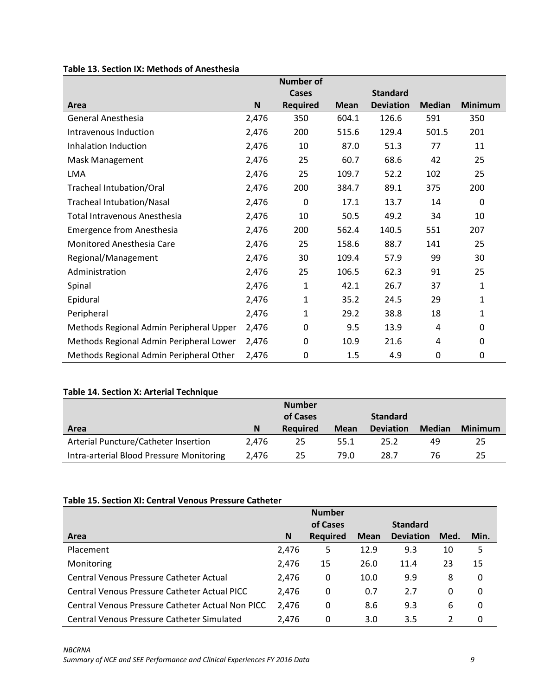|                                         |             | <b>Number of</b> |             |                  |               |                |
|-----------------------------------------|-------------|------------------|-------------|------------------|---------------|----------------|
|                                         |             | Cases            |             | <b>Standard</b>  |               |                |
| Area                                    | $\mathsf N$ | <b>Required</b>  | <b>Mean</b> | <b>Deviation</b> | <b>Median</b> | <b>Minimum</b> |
| <b>General Anesthesia</b>               | 2,476       | 350              | 604.1       | 126.6            | 591           | 350            |
| Intravenous Induction                   | 2,476       | 200              | 515.6       | 129.4            | 501.5         | 201            |
| Inhalation Induction                    | 2,476       | 10               | 87.0        | 51.3             | 77            | 11             |
| Mask Management                         | 2,476       | 25               | 60.7        | 68.6             | 42            | 25             |
| <b>LMA</b>                              | 2,476       | 25               | 109.7       | 52.2             | 102           | 25             |
| <b>Tracheal Intubation/Oral</b>         | 2,476       | 200              | 384.7       | 89.1             | 375           | 200            |
| <b>Tracheal Intubation/Nasal</b>        | 2,476       | $\Omega$         | 17.1        | 13.7             | 14            | $\Omega$       |
| Total Intravenous Anesthesia            | 2,476       | 10               | 50.5        | 49.2             | 34            | 10             |
| <b>Emergence from Anesthesia</b>        | 2,476       | 200              | 562.4       | 140.5            | 551           | 207            |
| Monitored Anesthesia Care               | 2,476       | 25               | 158.6       | 88.7             | 141           | 25             |
| Regional/Management                     | 2,476       | 30               | 109.4       | 57.9             | 99            | 30             |
| Administration                          | 2,476       | 25               | 106.5       | 62.3             | 91            | 25             |
| Spinal                                  | 2,476       | 1                | 42.1        | 26.7             | 37            | 1              |
| Epidural                                | 2,476       | 1                | 35.2        | 24.5             | 29            | 1              |
| Peripheral                              | 2,476       | 1                | 29.2        | 38.8             | 18            | 1              |
| Methods Regional Admin Peripheral Upper | 2,476       | 0                | 9.5         | 13.9             | 4             | 0              |
| Methods Regional Admin Peripheral Lower | 2,476       | 0                | 10.9        | 21.6             | 4             | 0              |
| Methods Regional Admin Peripheral Other | 2,476       | 0                | 1.5         | 4.9              | 0             | 0              |

# **Table 13. Section IX: Methods of Anesthesia**

# **Table 14. Section X: Arterial Technique**

|                                          |       | <b>Number</b><br>of Cases |             | <b>Standard</b>  |               |                |
|------------------------------------------|-------|---------------------------|-------------|------------------|---------------|----------------|
| Area                                     | N     | <b>Required</b>           | <b>Mean</b> | <b>Deviation</b> | <b>Median</b> | <b>Minimum</b> |
| Arterial Puncture/Catheter Insertion     | 2.476 | 25                        | 55.1        | 25.2             | 49            | 25             |
| Intra-arterial Blood Pressure Monitoring | 2.476 | 25                        | 79.0        | 28.7             | 76            | 25             |

### **Table 15. Section XI: Central Venous Pressure Catheter**

|                                                  |       | <b>Number</b>   |             |                  |               |      |
|--------------------------------------------------|-------|-----------------|-------------|------------------|---------------|------|
|                                                  |       | of Cases        |             | <b>Standard</b>  |               |      |
| Area                                             | N     | <b>Required</b> | <b>Mean</b> | <b>Deviation</b> | Med.          | Min. |
| Placement                                        | 2,476 | 5               | 12.9        | 9.3              | 10            | 5    |
| Monitoring                                       | 2,476 | 15              | 26.0        | 11.4             | 23            | 15   |
| Central Venous Pressure Catheter Actual          | 2.476 | 0               | 10.0        | 9.9              | 8             | 0    |
| Central Venous Pressure Catheter Actual PICC     | 2.476 | 0               | 0.7         | 2.7              | 0             | 0    |
| Central Venous Pressure Catheter Actual Non PICC | 2.476 | 0               | 8.6         | 9.3              | 6             | 0    |
| Central Venous Pressure Catheter Simulated       | 2.476 | 0               | 3.0         | 3.5              | $\mathcal{P}$ | 0    |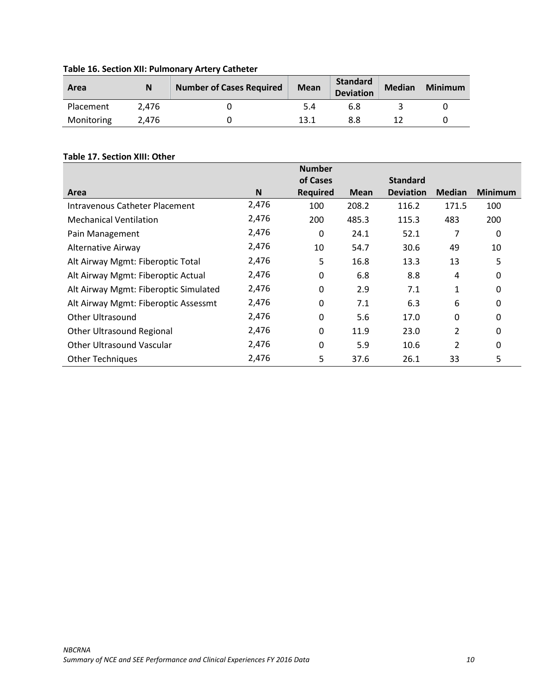| Area       | N     | <b>Number of Cases Required</b> | <b>Mean</b> | <b>Standard</b><br><b>Deviation</b> | <b>Median</b> | <b>Minimum</b> |
|------------|-------|---------------------------------|-------------|-------------------------------------|---------------|----------------|
| Placement  | 2.476 |                                 | 5.4         | 6.8                                 |               |                |
| Monitoring | 2.476 |                                 | 13.1        |                                     |               |                |

**Table 16. Section XII: Pulmonary Artery Catheter**

## **Table 17. Section XIII: Other**

|                                       |       | <b>Number</b>   |             |                  |               |                |
|---------------------------------------|-------|-----------------|-------------|------------------|---------------|----------------|
|                                       |       | of Cases        |             | <b>Standard</b>  |               |                |
| Area                                  | N     | <b>Required</b> | <b>Mean</b> | <b>Deviation</b> | <b>Median</b> | <b>Minimum</b> |
| Intravenous Catheter Placement        | 2,476 | 100             | 208.2       | 116.2            | 171.5         | 100            |
| <b>Mechanical Ventilation</b>         | 2,476 | 200             | 485.3       | 115.3            | 483           | 200            |
| Pain Management                       | 2,476 | 0               | 24.1        | 52.1             | 7             | 0              |
| <b>Alternative Airway</b>             | 2,476 | 10              | 54.7        | 30.6             | 49            | 10             |
| Alt Airway Mgmt: Fiberoptic Total     | 2,476 | 5               | 16.8        | 13.3             | 13            | 5              |
| Alt Airway Mgmt: Fiberoptic Actual    | 2,476 | 0               | 6.8         | 8.8              | 4             | 0              |
| Alt Airway Mgmt: Fiberoptic Simulated | 2,476 | 0               | 2.9         | 7.1              | 1             | 0              |
| Alt Airway Mgmt: Fiberoptic Assessmt  | 2,476 | 0               | 7.1         | 6.3              | 6             | 0              |
| Other Ultrasound                      | 2,476 | 0               | 5.6         | 17.0             | 0             | 0              |
| Other Ultrasound Regional             | 2,476 | 0               | 11.9        | 23.0             | 2             | 0              |
| Other Ultrasound Vascular             | 2,476 | 0               | 5.9         | 10.6             | 2             | 0              |
| <b>Other Techniques</b>               | 2,476 | 5               | 37.6        | 26.1             | 33            | 5              |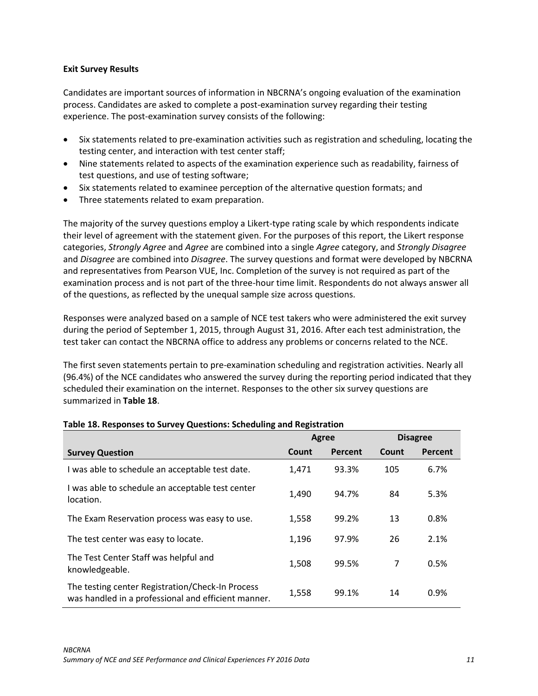### <span id="page-12-0"></span>**Exit Survey Results**

Candidates are important sources of information in NBCRNA's ongoing evaluation of the examination process. Candidates are asked to complete a post-examination survey regarding their testing experience. The post-examination survey consists of the following:

- Six statements related to pre-examination activities such as registration and scheduling, locating the testing center, and interaction with test center staff;
- Nine statements related to aspects of the examination experience such as readability, fairness of test questions, and use of testing software;
- Six statements related to examinee perception of the alternative question formats; and
- Three statements related to exam preparation.

The majority of the survey questions employ a Likert-type rating scale by which respondents indicate their level of agreement with the statement given. For the purposes of this report, the Likert response categories, *Strongly Agree* and *Agree* are combined into a single *Agree* category, and *Strongly Disagree* and *Disagree* are combined into *Disagree*. The survey questions and format were developed by NBCRNA and representatives from Pearson VUE, Inc. Completion of the survey is not required as part of the examination process and is not part of the three-hour time limit. Respondents do not always answer all of the questions, as reflected by the unequal sample size across questions.

Responses were analyzed based on a sample of NCE test takers who were administered the exit survey during the period of September 1, 2015, through August 31, 2016. After each test administration, the test taker can contact the NBCRNA office to address any problems or concerns related to the NCE.

The first seven statements pertain to pre-examination scheduling and registration activities. Nearly all (96.4%) of the NCE candidates who answered the survey during the reporting period indicated that they scheduled their examination on the internet. Responses to the other six survey questions are summarized in **Table 18**.

|                                                                                                         | <b>Agree</b> |         |       | <b>Disagree</b> |
|---------------------------------------------------------------------------------------------------------|--------------|---------|-------|-----------------|
| <b>Survey Question</b>                                                                                  | Count        | Percent | Count | Percent         |
| I was able to schedule an acceptable test date.                                                         | 1,471        | 93.3%   | 105   | 6.7%            |
| I was able to schedule an acceptable test center<br>location.                                           | 1,490        | 94.7%   | 84    | 5.3%            |
| The Exam Reservation process was easy to use.                                                           | 1,558        | 99.2%   | 13    | 0.8%            |
| The test center was easy to locate.                                                                     | 1,196        | 97.9%   | 26    | 2.1%            |
| The Test Center Staff was helpful and<br>knowledgeable.                                                 | 1,508        | 99.5%   | 7     | 0.5%            |
| The testing center Registration/Check-In Process<br>was handled in a professional and efficient manner. | 1,558        | 99.1%   | 14    | 0.9%            |

### **Table 18. Responses to Survey Questions: Scheduling and Registration**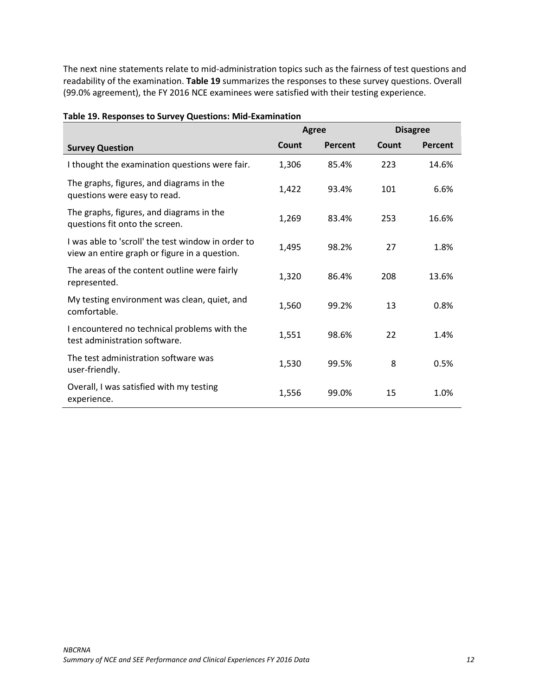The next nine statements relate to mid-administration topics such as the fairness of test questions and readability of the examination. **Table 19** summarizes the responses to these survey questions. Overall (99.0% agreement), the FY 2016 NCE examinees were satisfied with their testing experience.

|                                                                                                     | Agree |         |       | <b>Disagree</b> |
|-----------------------------------------------------------------------------------------------------|-------|---------|-------|-----------------|
| <b>Survey Question</b>                                                                              | Count | Percent | Count | Percent         |
| I thought the examination questions were fair.                                                      | 1,306 | 85.4%   | 223   | 14.6%           |
| The graphs, figures, and diagrams in the<br>questions were easy to read.                            | 1,422 | 93.4%   | 101   | 6.6%            |
| The graphs, figures, and diagrams in the<br>questions fit onto the screen.                          | 1,269 | 83.4%   | 253   | 16.6%           |
| I was able to 'scroll' the test window in order to<br>view an entire graph or figure in a question. | 1,495 | 98.2%   | 27    | 1.8%            |
| The areas of the content outline were fairly<br>represented.                                        | 1,320 | 86.4%   | 208   | 13.6%           |
| My testing environment was clean, quiet, and<br>comfortable.                                        | 1,560 | 99.2%   | 13    | 0.8%            |
| I encountered no technical problems with the<br>test administration software.                       | 1,551 | 98.6%   | 22    | 1.4%            |
| The test administration software was<br>user-friendly.                                              | 1,530 | 99.5%   | 8     | 0.5%            |
| Overall, I was satisfied with my testing<br>experience.                                             | 1,556 | 99.0%   | 15    | 1.0%            |

### **Table 19. Responses to Survey Questions: Mid-Examination**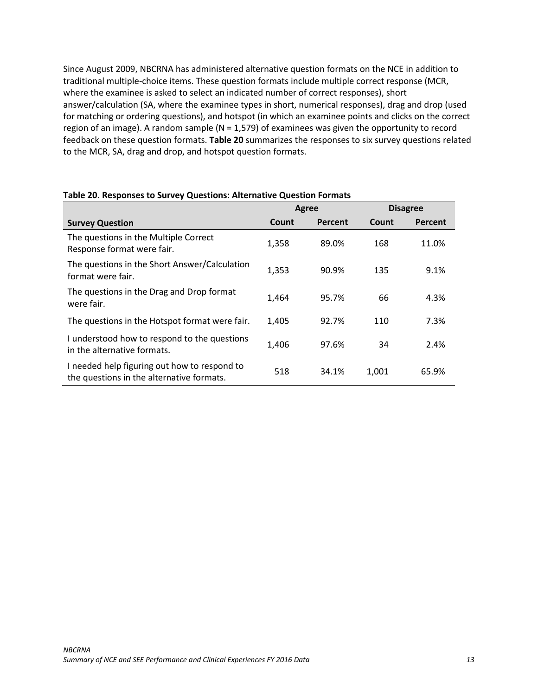Since August 2009, NBCRNA has administered alternative question formats on the NCE in addition to traditional multiple-choice items. These question formats include multiple correct response (MCR, where the examinee is asked to select an indicated number of correct responses), short answer/calculation (SA, where the examinee types in short, numerical responses), drag and drop (used for matching or ordering questions), and hotspot (in which an examinee points and clicks on the correct region of an image). A random sample ( $N = 1,579$ ) of examinees was given the opportunity to record feedback on these question formats. **Table 20** summarizes the responses to six survey questions related to the MCR, SA, drag and drop, and hotspot question formats.

|                                                                                           | Agree |         |       | <b>Disagree</b> |
|-------------------------------------------------------------------------------------------|-------|---------|-------|-----------------|
| <b>Survey Question</b>                                                                    | Count | Percent | Count | Percent         |
| The questions in the Multiple Correct<br>Response format were fair.                       | 1,358 | 89.0%   | 168   | 11.0%           |
| The questions in the Short Answer/Calculation<br>format were fair.                        | 1,353 | 90.9%   | 135   | 9.1%            |
| The questions in the Drag and Drop format<br>were fair.                                   | 1,464 | 95.7%   | 66    | 4.3%            |
| The questions in the Hotspot format were fair.                                            | 1,405 | 92.7%   | 110   | 7.3%            |
| I understood how to respond to the questions<br>in the alternative formats.               | 1.406 | 97.6%   | 34    | 2.4%            |
| I needed help figuring out how to respond to<br>the questions in the alternative formats. | 518   | 34.1%   | 1.001 | 65.9%           |

#### **Table 20. Responses to Survey Questions: Alternative Question Formats**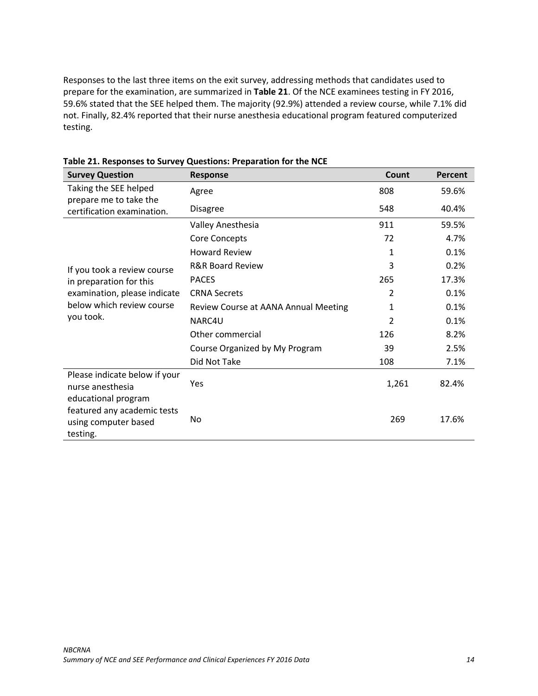Responses to the last three items on the exit survey, addressing methods that candidates used to prepare for the examination, are summarized in **Table 21**. Of the NCE examinees testing in FY 2016, 59.6% stated that the SEE helped them. The majority (92.9%) attended a review course, while 7.1% did not. Finally, 82.4% reported that their nurse anesthesia educational program featured computerized testing.

| <b>Survey Question</b>                                                                 | Response                             | Count          | Percent |
|----------------------------------------------------------------------------------------|--------------------------------------|----------------|---------|
| Taking the SEE helped<br>prepare me to take the                                        | Agree                                | 808            | 59.6%   |
| certification examination.                                                             | <b>Disagree</b>                      | 548            | 40.4%   |
|                                                                                        | Valley Anesthesia                    | 911            | 59.5%   |
|                                                                                        | <b>Core Concepts</b>                 | 72             | 4.7%    |
|                                                                                        | <b>Howard Review</b>                 | 1              | 0.1%    |
| If you took a review course                                                            | <b>R&amp;R Board Review</b>          | 3              | 0.2%    |
| in preparation for this                                                                | <b>PACES</b>                         | 265            | 17.3%   |
| examination, please indicate                                                           | <b>CRNA Secrets</b>                  | 2              | 0.1%    |
| below which review course                                                              | Review Course at AANA Annual Meeting | 1              | 0.1%    |
| you took.                                                                              | NARC4U                               | $\overline{2}$ | 0.1%    |
|                                                                                        | Other commercial                     | 126            | 8.2%    |
|                                                                                        | Course Organized by My Program       | 39             | 2.5%    |
|                                                                                        | Did Not Take                         | 108            | 7.1%    |
| Please indicate below if your<br>nurse anesthesia                                      | Yes                                  | 1,261          | 82.4%   |
| educational program<br>featured any academic tests<br>using computer based<br>testing. | No                                   | 269            | 17.6%   |

**Table 21. Responses to Survey Questions: Preparation for the NCE**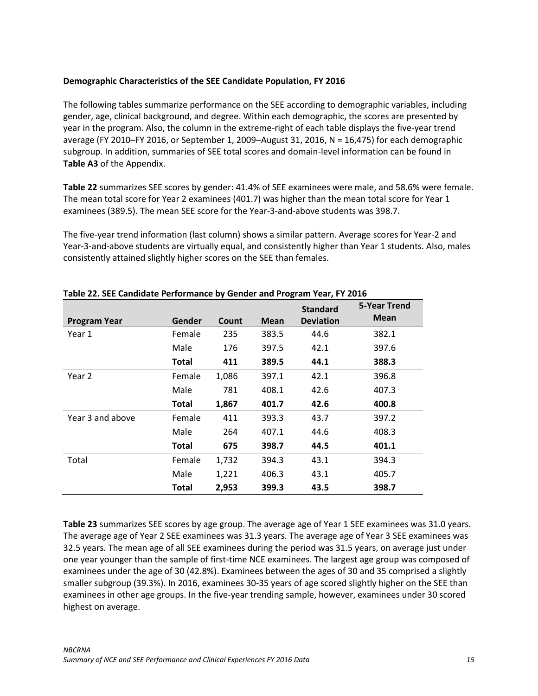### <span id="page-16-0"></span>**Demographic Characteristics of the SEE Candidate Population, FY 2016**

The following tables summarize performance on the SEE according to demographic variables, including gender, age, clinical background, and degree. Within each demographic, the scores are presented by year in the program. Also, the column in the extreme-right of each table displays the five-year trend average (FY 2010–FY 2016, or September 1, 2009–August 31, 2016, N = 16,475) for each demographic subgroup. In addition, summaries of SEE total scores and domain-level information can be found in **Table A3** of the Appendix.

**Table 22** summarizes SEE scores by gender: 41.4% of SEE examinees were male, and 58.6% were female. The mean total score for Year 2 examinees (401.7) was higher than the mean total score for Year 1 examinees (389.5). The mean SEE score for the Year-3-and-above students was 398.7.

The five-year trend information (last column) shows a similar pattern. Average scores for Year-2 and Year-3-and-above students are virtually equal, and consistently higher than Year 1 students. Also, males consistently attained slightly higher scores on the SEE than females.

| <b>Program Year</b> | Gender       | Count | ັ<br><b>Mean</b> | <b>Standard</b><br><b>Deviation</b> | 5-Year Trend<br><b>Mean</b> |
|---------------------|--------------|-------|------------------|-------------------------------------|-----------------------------|
| Year 1              | Female       | 235   | 383.5            | 44.6                                | 382.1                       |
|                     | Male         | 176   | 397.5            | 42.1                                | 397.6                       |
|                     | <b>Total</b> | 411   | 389.5            | 44.1                                | 388.3                       |
| Year 2              | Female       | 1,086 | 397.1            | 42.1                                | 396.8                       |
|                     | Male         | 781   | 408.1            | 42.6                                | 407.3                       |
|                     | <b>Total</b> | 1,867 | 401.7            | 42.6                                | 400.8                       |
| Year 3 and above    | Female       | 411   | 393.3            | 43.7                                | 397.2                       |
|                     | Male         | 264   | 407.1            | 44.6                                | 408.3                       |
|                     | <b>Total</b> | 675   | 398.7            | 44.5                                | 401.1                       |
| Total               | Female       | 1,732 | 394.3            | 43.1                                | 394.3                       |
|                     | Male         | 1,221 | 406.3            | 43.1                                | 405.7                       |
|                     | <b>Total</b> | 2,953 | 399.3            | 43.5                                | 398.7                       |

#### **Table 22. SEE Candidate Performance by Gender and Program Year, FY 2016**

**Table 23** summarizes SEE scores by age group. The average age of Year 1 SEE examinees was 31.0 years. The average age of Year 2 SEE examinees was 31.3 years. The average age of Year 3 SEE examinees was 32.5 years. The mean age of all SEE examinees during the period was 31.5 years, on average just under one year younger than the sample of first-time NCE examinees. The largest age group was composed of examinees under the age of 30 (42.8%). Examinees between the ages of 30 and 35 comprised a slightly smaller subgroup (39.3%). In 2016, examinees 30-35 years of age scored slightly higher on the SEE than examinees in other age groups. In the five-year trending sample, however, examinees under 30 scored highest on average.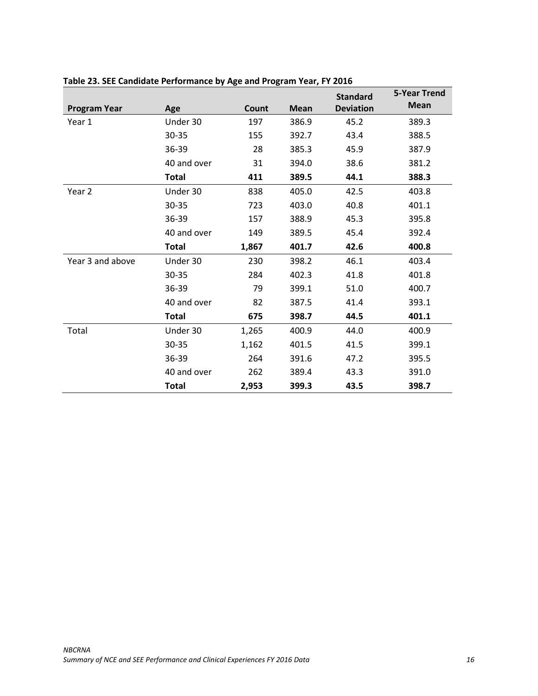|                     |              |       |             | <b>Standard</b>  | <b>5-Year Trend</b> |
|---------------------|--------------|-------|-------------|------------------|---------------------|
| <b>Program Year</b> | Age          | Count | <b>Mean</b> | <b>Deviation</b> | <b>Mean</b>         |
| Year 1              | Under 30     | 197   | 386.9       | 45.2             | 389.3               |
|                     | 30-35        | 155   | 392.7       | 43.4             | 388.5               |
|                     | 36-39        | 28    | 385.3       | 45.9             | 387.9               |
|                     | 40 and over  | 31    | 394.0       | 38.6             | 381.2               |
|                     | <b>Total</b> | 411   | 389.5       | 44.1             | 388.3               |
| Year 2              | Under 30     | 838   | 405.0       | 42.5             | 403.8               |
|                     | 30-35        | 723   | 403.0       | 40.8             | 401.1               |
|                     | 36-39        | 157   | 388.9       | 45.3             | 395.8               |
|                     | 40 and over  | 149   | 389.5       | 45.4             | 392.4               |
|                     | <b>Total</b> | 1,867 | 401.7       | 42.6             | 400.8               |
| Year 3 and above    | Under 30     | 230   | 398.2       | 46.1             | 403.4               |
|                     | 30-35        | 284   | 402.3       | 41.8             | 401.8               |
|                     | 36-39        | 79    | 399.1       | 51.0             | 400.7               |
|                     | 40 and over  | 82    | 387.5       | 41.4             | 393.1               |
|                     | <b>Total</b> | 675   | 398.7       | 44.5             | 401.1               |
| Total               | Under 30     | 1,265 | 400.9       | 44.0             | 400.9               |
|                     | 30-35        | 1,162 | 401.5       | 41.5             | 399.1               |
|                     | 36-39        | 264   | 391.6       | 47.2             | 395.5               |
|                     | 40 and over  | 262   | 389.4       | 43.3             | 391.0               |
|                     | <b>Total</b> | 2,953 | 399.3       | 43.5             | 398.7               |

# **Table 23. SEE Candidate Performance by Age and Program Year, FY 2016**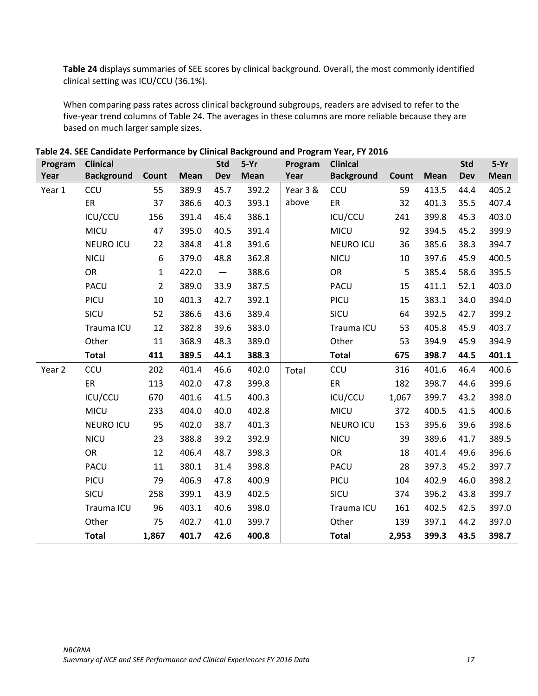**Table 24** displays summaries of SEE scores by clinical background. Overall, the most commonly identified clinical setting was ICU/CCU (36.1%).

When comparing pass rates across clinical background subgroups, readers are advised to refer to the five-year trend columns of Table 24. The averages in these columns are more reliable because they are based on much larger sample sizes.

| Program | <b>Clinical</b>   |                |             | <b>Std</b>               | $5-Yr$      | Program  | <b>Clinical</b>   |       |             | <b>Std</b> | $5-Yr$      |
|---------|-------------------|----------------|-------------|--------------------------|-------------|----------|-------------------|-------|-------------|------------|-------------|
| Year    | <b>Background</b> | Count          | <b>Mean</b> | <b>Dev</b>               | <b>Mean</b> | Year     | <b>Background</b> | Count | <b>Mean</b> | <b>Dev</b> | <b>Mean</b> |
| Year 1  | CCU               | 55             | 389.9       | 45.7                     | 392.2       | Year 3 & | <b>CCU</b>        | 59    | 413.5       | 44.4       | 405.2       |
|         | ER                | 37             | 386.6       | 40.3                     | 393.1       | above    | ER                | 32    | 401.3       | 35.5       | 407.4       |
|         | ICU/CCU           | 156            | 391.4       | 46.4                     | 386.1       |          | ICU/CCU           | 241   | 399.8       | 45.3       | 403.0       |
|         | MICU              | 47             | 395.0       | 40.5                     | 391.4       |          | <b>MICU</b>       | 92    | 394.5       | 45.2       | 399.9       |
|         | <b>NEURO ICU</b>  | 22             | 384.8       | 41.8                     | 391.6       |          | <b>NEURO ICU</b>  | 36    | 385.6       | 38.3       | 394.7       |
|         | <b>NICU</b>       | 6              | 379.0       | 48.8                     | 362.8       |          | <b>NICU</b>       | 10    | 397.6       | 45.9       | 400.5       |
|         | <b>OR</b>         | $\mathbf{1}$   | 422.0       | $\overline{\phantom{m}}$ | 388.6       |          | <b>OR</b>         | 5     | 385.4       | 58.6       | 395.5       |
|         | <b>PACU</b>       | $\overline{2}$ | 389.0       | 33.9                     | 387.5       |          | PACU              | 15    | 411.1       | 52.1       | 403.0       |
|         | PICU              | 10             | 401.3       | 42.7                     | 392.1       |          | PICU              | 15    | 383.1       | 34.0       | 394.0       |
|         | SICU              | 52             | 386.6       | 43.6                     | 389.4       |          | SICU              | 64    | 392.5       | 42.7       | 399.2       |
|         | Trauma ICU        | 12             | 382.8       | 39.6                     | 383.0       |          | Trauma ICU        | 53    | 405.8       | 45.9       | 403.7       |
|         | Other             | 11             | 368.9       | 48.3                     | 389.0       |          | Other             | 53    | 394.9       | 45.9       | 394.9       |
|         | <b>Total</b>      | 411            | 389.5       | 44.1                     | 388.3       |          | <b>Total</b>      | 675   | 398.7       | 44.5       | 401.1       |
| Year 2  | CCU               | 202            | 401.4       | 46.6                     | 402.0       | Total    | CCU               | 316   | 401.6       | 46.4       | 400.6       |
|         | ER                | 113            | 402.0       | 47.8                     | 399.8       |          | ER                | 182   | 398.7       | 44.6       | 399.6       |
|         | ICU/CCU           | 670            | 401.6       | 41.5                     | 400.3       |          | ICU/CCU           | 1,067 | 399.7       | 43.2       | 398.0       |
|         | <b>MICU</b>       | 233            | 404.0       | 40.0                     | 402.8       |          | <b>MICU</b>       | 372   | 400.5       | 41.5       | 400.6       |
|         | <b>NEURO ICU</b>  | 95             | 402.0       | 38.7                     | 401.3       |          | <b>NEURO ICU</b>  | 153   | 395.6       | 39.6       | 398.6       |
|         | <b>NICU</b>       | 23             | 388.8       | 39.2                     | 392.9       |          | <b>NICU</b>       | 39    | 389.6       | 41.7       | 389.5       |
|         | <b>OR</b>         | 12             | 406.4       | 48.7                     | 398.3       |          | <b>OR</b>         | 18    | 401.4       | 49.6       | 396.6       |
|         | <b>PACU</b>       | 11             | 380.1       | 31.4                     | 398.8       |          | PACU              | 28    | 397.3       | 45.2       | 397.7       |
|         | PICU              | 79             | 406.9       | 47.8                     | 400.9       |          | PICU              | 104   | 402.9       | 46.0       | 398.2       |
|         | SICU              | 258            | 399.1       | 43.9                     | 402.5       |          | SICU              | 374   | 396.2       | 43.8       | 399.7       |
|         | Trauma ICU        | 96             | 403.1       | 40.6                     | 398.0       |          | Trauma ICU        | 161   | 402.5       | 42.5       | 397.0       |
|         | Other             | 75             | 402.7       | 41.0                     | 399.7       |          | Other             | 139   | 397.1       | 44.2       | 397.0       |
|         | <b>Total</b>      | 1,867          | 401.7       | 42.6                     | 400.8       |          | <b>Total</b>      | 2,953 | 399.3       | 43.5       | 398.7       |

**Table 24. SEE Candidate Performance by Clinical Background and Program Year, FY 2016**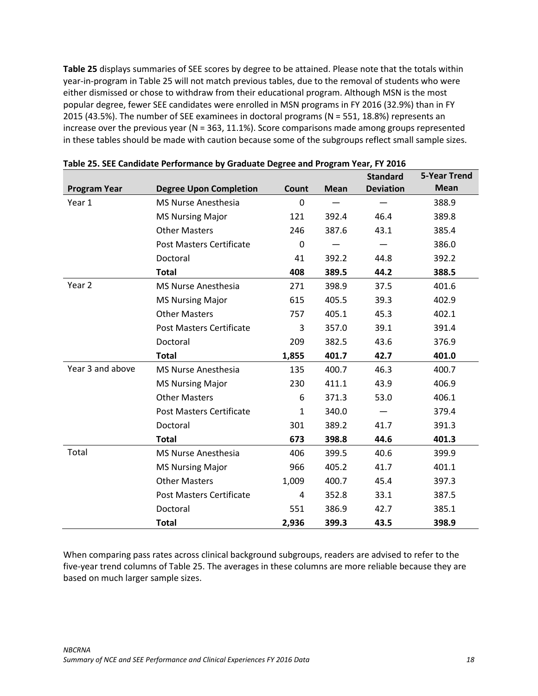**Table 25** displays summaries of SEE scores by degree to be attained. Please note that the totals within year-in-program in Table 25 will not match previous tables, due to the removal of students who were either dismissed or chose to withdraw from their educational program. Although MSN is the most popular degree, fewer SEE candidates were enrolled in MSN programs in FY 2016 (32.9%) than in FY 2015 (43.5%). The number of SEE examinees in doctoral programs (N = 551, 18.8%) represents an increase over the previous year (N = 363, 11.1%). Score comparisons made among groups represented in these tables should be made with caution because some of the subgroups reflect small sample sizes.

|                     |                                 |              |             | <b>Standard</b>  | <b>5-Year Trend</b> |
|---------------------|---------------------------------|--------------|-------------|------------------|---------------------|
| <b>Program Year</b> | <b>Degree Upon Completion</b>   | Count        | <b>Mean</b> | <b>Deviation</b> | <b>Mean</b>         |
| Year 1              | <b>MS Nurse Anesthesia</b>      | $\mathbf{0}$ |             |                  | 388.9               |
|                     | <b>MS Nursing Major</b>         | 121          | 392.4       | 46.4             | 389.8               |
|                     | <b>Other Masters</b>            | 246          | 387.6       | 43.1             | 385.4               |
|                     | Post Masters Certificate        | 0            |             |                  | 386.0               |
|                     | Doctoral                        | 41           | 392.2       | 44.8             | 392.2               |
|                     | <b>Total</b>                    | 408          | 389.5       | 44.2             | 388.5               |
| Year <sub>2</sub>   | MS Nurse Anesthesia             | 271          | 398.9       | 37.5             | 401.6               |
|                     | <b>MS Nursing Major</b>         | 615          | 405.5       | 39.3             | 402.9               |
|                     | <b>Other Masters</b>            | 757          | 405.1       | 45.3             | 402.1               |
|                     | <b>Post Masters Certificate</b> | 3            | 357.0       | 39.1             | 391.4               |
|                     | Doctoral                        | 209          | 382.5       | 43.6             | 376.9               |
|                     | <b>Total</b>                    | 1,855        | 401.7       | 42.7             | 401.0               |
| Year 3 and above    | MS Nurse Anesthesia             | 135          | 400.7       | 46.3             | 400.7               |
|                     | <b>MS Nursing Major</b>         | 230          | 411.1       | 43.9             | 406.9               |
|                     | <b>Other Masters</b>            | 6            | 371.3       | 53.0             | 406.1               |
|                     | <b>Post Masters Certificate</b> | $\mathbf{1}$ | 340.0       |                  | 379.4               |
|                     | Doctoral                        | 301          | 389.2       | 41.7             | 391.3               |
|                     | <b>Total</b>                    | 673          | 398.8       | 44.6             | 401.3               |
| Total               | MS Nurse Anesthesia             | 406          | 399.5       | 40.6             | 399.9               |
|                     | <b>MS Nursing Major</b>         | 966          | 405.2       | 41.7             | 401.1               |
|                     | <b>Other Masters</b>            | 1,009        | 400.7       | 45.4             | 397.3               |
|                     | <b>Post Masters Certificate</b> | 4            | 352.8       | 33.1             | 387.5               |
|                     | Doctoral                        | 551          | 386.9       | 42.7             | 385.1               |
|                     | <b>Total</b>                    | 2,936        | 399.3       | 43.5             | 398.9               |

When comparing pass rates across clinical background subgroups, readers are advised to refer to the five-year trend columns of Table 25. The averages in these columns are more reliable because they are based on much larger sample sizes.